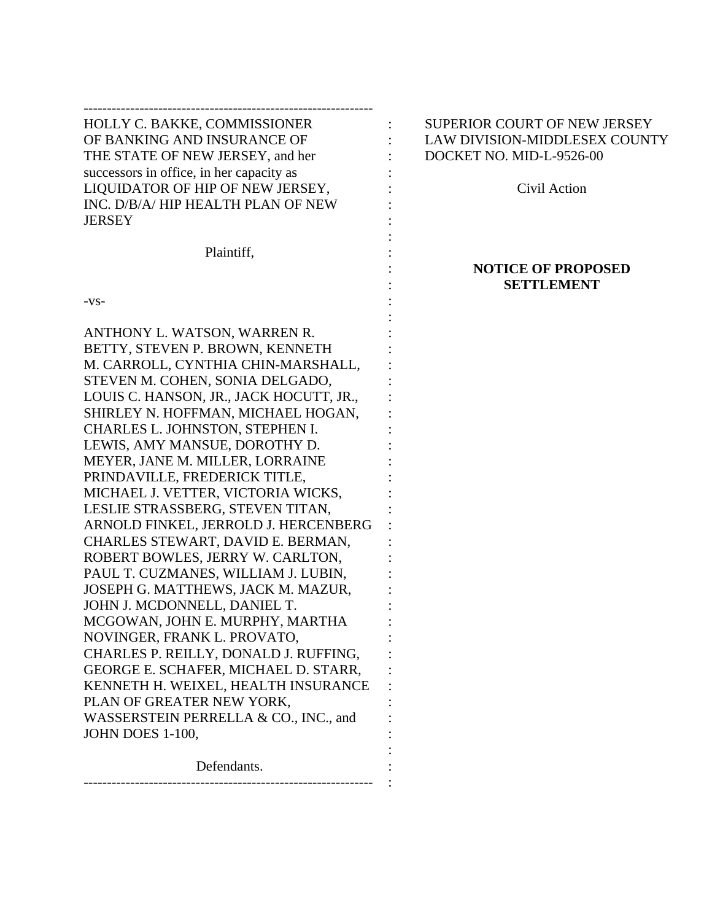## -------------------------------------------------------------- HOLLY C. BAKKE, COMMISSIONER : SUPERIOR COURT OF NEW JERSEY OF BANKING AND INSURANCE OF  $\qquad \qquad : \qquad$  LAW DIVISION-MIDDLESEX COUNTY THE STATE OF NEW JERSEY, and her : DOCKET NO. MID-L-9526-00 successors in office, in her capacity as : LIQUIDATOR OF HIP OF NEW JERSEY, : Civil Action INC. D/B/A/ HIP HEALTH PLAN OF NEW **JERSEY**

Plaintiff,

:

: :

:

:

 $-vs-$ 

ANTHONY L. WATSON, WARREN R. BETTY, STEVEN P. BROWN, KENNETH M. CARROLL, CYNTHIA CHIN-MARSHALL, STEVEN M. COHEN, SONIA DELGADO, LOUIS C. HANSON, JR., JACK HOCUTT, JR., : SHIRLEY N. HOFFMAN, MICHAEL HOGAN, CHARLES L. JOHNSTON, STEPHEN I. LEWIS, AMY MANSUE, DOROTHY D. : MEYER, JANE M. MILLER, LORRAINE PRINDAVILLE, FREDERICK TITLE, MICHAEL J. VETTER, VICTORIA WICKS, LESLIE STRASSBERG, STEVEN TITAN, ARNOLD FINKEL, JERROLD J. HERCENBERG : CHARLES STEWART, DAVID E. BERMAN, ROBERT BOWLES, JERRY W. CARLTON, PAUL T. CUZMANES, WILLIAM J. LUBIN, JOSEPH G. MATTHEWS, JACK M. MAZUR, JOHN J. MCDONNELL, DANIEL T. MCGOWAN, JOHN E. MURPHY, MARTHA : NOVINGER, FRANK L. PROVATO, CHARLES P. REILLY, DONALD J. RUFFING, : GEORGE E. SCHAFER, MICHAEL D. STARR, : KENNETH H. WEIXEL, HEALTH INSURANCE PLAN OF GREATER NEW YORK, WASSERSTEIN PERRELLA & CO., INC., and JOHN DOES 1-100, :

Defendants. -------------------------------------------------------------- :

## **NOTICE OF PROPOSED SETTLEMENT**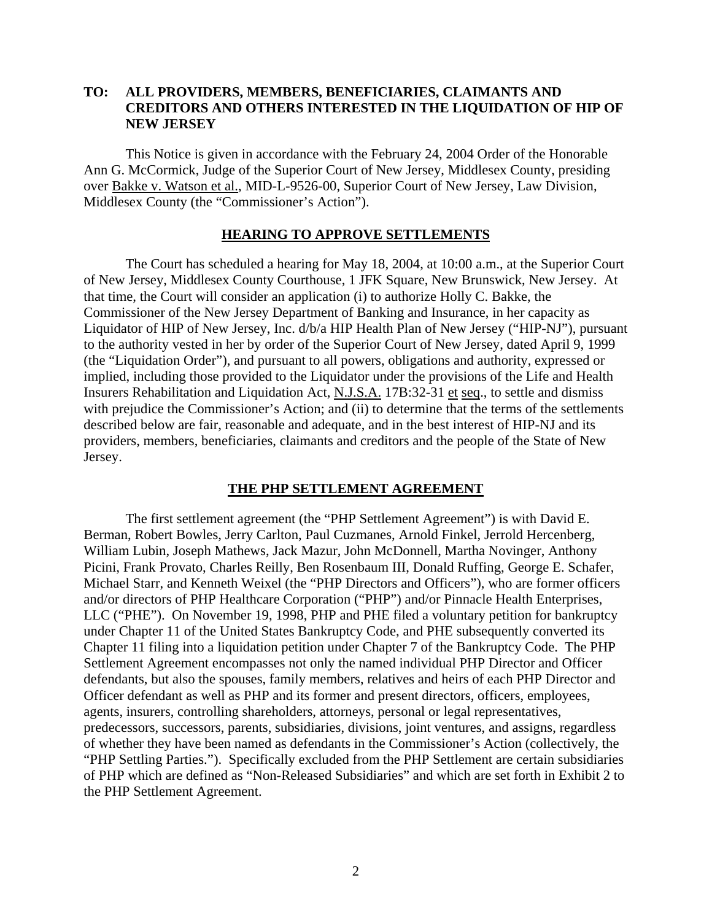## **TO: ALL PROVIDERS, MEMBERS, BENEFICIARIES, CLAIMANTS AND CREDITORS AND OTHERS INTERESTED IN THE LIQUIDATION OF HIP OF NEW JERSEY**

This Notice is given in accordance with the February 24, 2004 Order of the Honorable Ann G. McCormick, Judge of the Superior Court of New Jersey, Middlesex County, presiding over Bakke v. Watson et al., MID-L-9526-00, Superior Court of New Jersey, Law Division, Middlesex County (the "Commissioner's Action").

#### **HEARING TO APPROVE SETTLEMENTS**

The Court has scheduled a hearing for May 18, 2004, at 10:00 a.m., at the Superior Court of New Jersey, Middlesex County Courthouse, 1 JFK Square, New Brunswick, New Jersey. At that time, the Court will consider an application (i) to authorize Holly C. Bakke, the Commissioner of the New Jersey Department of Banking and Insurance, in her capacity as Liquidator of HIP of New Jersey, Inc. d/b/a HIP Health Plan of New Jersey ("HIP-NJ"), pursuant to the authority vested in her by order of the Superior Court of New Jersey, dated April 9, 1999 (the "Liquidation Order"), and pursuant to all powers, obligations and authority, expressed or implied, including those provided to the Liquidator under the provisions of the Life and Health Insurers Rehabilitation and Liquidation Act, N.J.S.A. 17B:32-31 et seq., to settle and dismiss with prejudice the Commissioner's Action; and (ii) to determine that the terms of the settlements described below are fair, reasonable and adequate, and in the best interest of HIP-NJ and its providers, members, beneficiaries, claimants and creditors and the people of the State of New Jersey.

### **THE PHP SETTLEMENT AGREEMENT**

The first settlement agreement (the "PHP Settlement Agreement") is with David E. Berman, Robert Bowles, Jerry Carlton, Paul Cuzmanes, Arnold Finkel, Jerrold Hercenberg, William Lubin, Joseph Mathews, Jack Mazur, John McDonnell, Martha Novinger, Anthony Picini, Frank Provato, Charles Reilly, Ben Rosenbaum III, Donald Ruffing, George E. Schafer, Michael Starr, and Kenneth Weixel (the "PHP Directors and Officers"), who are former officers and/or directors of PHP Healthcare Corporation ("PHP") and/or Pinnacle Health Enterprises, LLC ("PHE"). On November 19, 1998, PHP and PHE filed a voluntary petition for bankruptcy under Chapter 11 of the United States Bankruptcy Code, and PHE subsequently converted its Chapter 11 filing into a liquidation petition under Chapter 7 of the Bankruptcy Code. The PHP Settlement Agreement encompasses not only the named individual PHP Director and Officer defendants, but also the spouses, family members, relatives and heirs of each PHP Director and Officer defendant as well as PHP and its former and present directors, officers, employees, agents, insurers, controlling shareholders, attorneys, personal or legal representatives, predecessors, successors, parents, subsidiaries, divisions, joint ventures, and assigns, regardless of whether they have been named as defendants in the Commissioner's Action (collectively, the "PHP Settling Parties."). Specifically excluded from the PHP Settlement are certain subsidiaries of PHP which are defined as "Non-Released Subsidiaries" and which are set forth in Exhibit 2 to the PHP Settlement Agreement.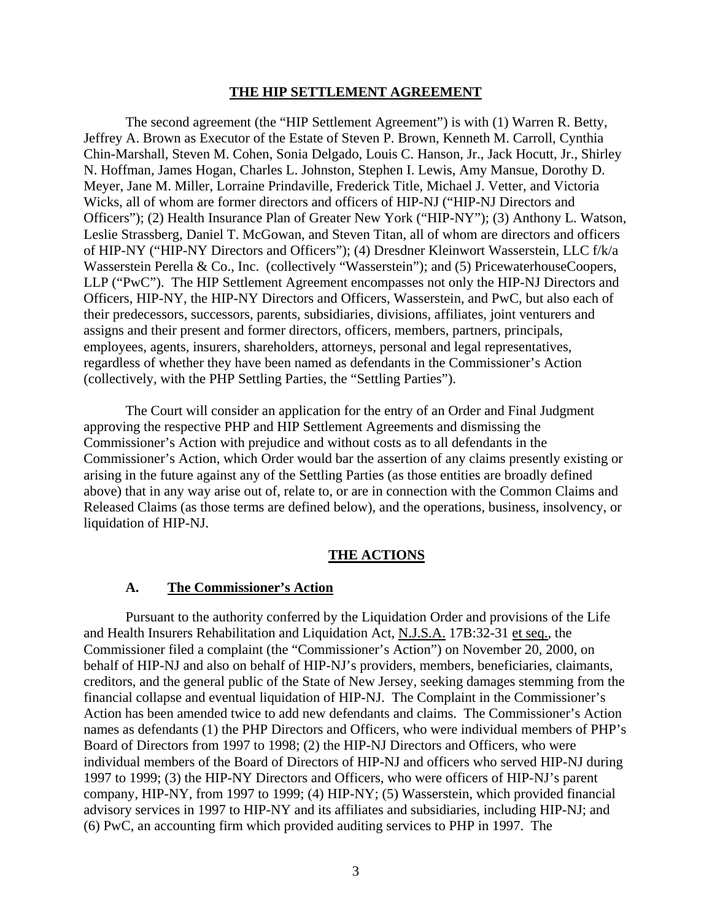#### **THE HIP SETTLEMENT AGREEMENT**

The second agreement (the "HIP Settlement Agreement") is with (1) Warren R. Betty, Jeffrey A. Brown as Executor of the Estate of Steven P. Brown, Kenneth M. Carroll, Cynthia Chin-Marshall, Steven M. Cohen, Sonia Delgado, Louis C. Hanson, Jr., Jack Hocutt, Jr., Shirley N. Hoffman, James Hogan, Charles L. Johnston, Stephen I. Lewis, Amy Mansue, Dorothy D. Meyer, Jane M. Miller, Lorraine Prindaville, Frederick Title, Michael J. Vetter, and Victoria Wicks, all of whom are former directors and officers of HIP-NJ ("HIP-NJ Directors and Officers"); (2) Health Insurance Plan of Greater New York ("HIP-NY"); (3) Anthony L. Watson, Leslie Strassberg, Daniel T. McGowan, and Steven Titan, all of whom are directors and officers of HIP-NY ("HIP-NY Directors and Officers"); (4) Dresdner Kleinwort Wasserstein, LLC f/k/a Wasserstein Perella & Co., Inc. (collectively "Wasserstein"); and (5) PricewaterhouseCoopers, LLP ("PwC"). The HIP Settlement Agreement encompasses not only the HIP-NJ Directors and Officers, HIP-NY, the HIP-NY Directors and Officers, Wasserstein, and PwC, but also each of their predecessors, successors, parents, subsidiaries, divisions, affiliates, joint venturers and assigns and their present and former directors, officers, members, partners, principals, employees, agents, insurers, shareholders, attorneys, personal and legal representatives, regardless of whether they have been named as defendants in the Commissioner's Action (collectively, with the PHP Settling Parties, the "Settling Parties").

The Court will consider an application for the entry of an Order and Final Judgment approving the respective PHP and HIP Settlement Agreements and dismissing the Commissioner's Action with prejudice and without costs as to all defendants in the Commissioner's Action, which Order would bar the assertion of any claims presently existing or arising in the future against any of the Settling Parties (as those entities are broadly defined above) that in any way arise out of, relate to, or are in connection with the Common Claims and Released Claims (as those terms are defined below), and the operations, business, insolvency, or liquidation of HIP-NJ.

## **THE ACTIONS**

### **A. The Commissioner's Action**

Pursuant to the authority conferred by the Liquidation Order and provisions of the Life and Health Insurers Rehabilitation and Liquidation Act, N.J.S.A. 17B:32-31 et seq., the Commissioner filed a complaint (the "Commissioner's Action") on November 20, 2000, on behalf of HIP-NJ and also on behalf of HIP-NJ's providers, members, beneficiaries, claimants, creditors, and the general public of the State of New Jersey, seeking damages stemming from the financial collapse and eventual liquidation of HIP-NJ. The Complaint in the Commissioner's Action has been amended twice to add new defendants and claims.The Commissioner's Action names as defendants (1) the PHP Directors and Officers, who were individual members of PHP's Board of Directors from 1997 to 1998; (2) the HIP-NJ Directors and Officers, who were individual members of the Board of Directors of HIP-NJ and officers who served HIP-NJ during 1997 to 1999; (3) the HIP-NY Directors and Officers, who were officers of HIP-NJ's parent company, HIP-NY, from 1997 to 1999; (4) HIP-NY; (5) Wasserstein, which provided financial advisory services in 1997 to HIP-NY and its affiliates and subsidiaries, including HIP-NJ; and (6) PwC, an accounting firm which provided auditing services to PHP in 1997. The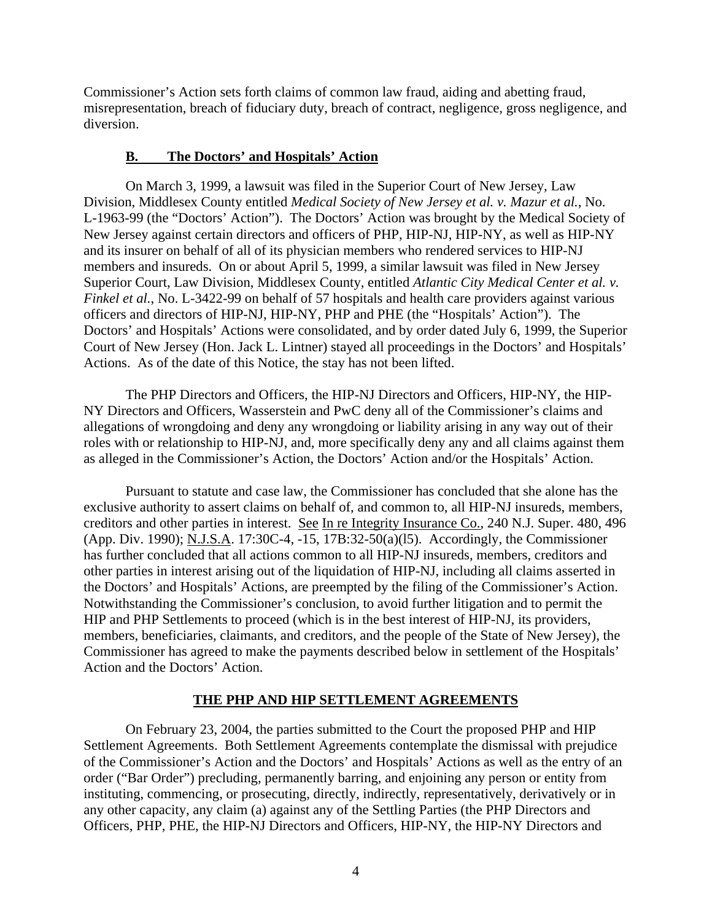Commissioner's Action sets forth claims of common law fraud, aiding and abetting fraud, misrepresentation, breach of fiduciary duty, breach of contract, negligence, gross negligence, and diversion.

## **B. The Doctors' and Hospitals' Action**

On March 3, 1999, a lawsuit was filed in the Superior Court of New Jersey, Law Division, Middlesex County entitled *Medical Society of New Jersey et al. v. Mazur et al.*, No. L-1963-99 (the "Doctors' Action"). The Doctors' Action was brought by the Medical Society of New Jersey against certain directors and officers of PHP, HIP-NJ, HIP-NY, as well as HIP-NY and its insurer on behalf of all of its physician members who rendered services to HIP-NJ members and insureds. On or about April 5, 1999, a similar lawsuit was filed in New Jersey Superior Court, Law Division, Middlesex County, entitled *Atlantic City Medical Center et al. v. Finkel et al.*, No. L-3422-99 on behalf of 57 hospitals and health care providers against various officers and directors of HIP-NJ, HIP-NY, PHP and PHE (the "Hospitals' Action"). The Doctors' and Hospitals' Actions were consolidated, and by order dated July 6, 1999, the Superior Court of New Jersey (Hon. Jack L. Lintner) stayed all proceedings in the Doctors' and Hospitals' Actions. As of the date of this Notice, the stay has not been lifted.

The PHP Directors and Officers, the HIP-NJ Directors and Officers, HIP-NY, the HIP-NY Directors and Officers, Wasserstein and PwC deny all of the Commissioner's claims and allegations of wrongdoing and deny any wrongdoing or liability arising in any way out of their roles with or relationship to HIP-NJ, and, more specifically deny any and all claims against them as alleged in the Commissioner's Action, the Doctors' Action and/or the Hospitals' Action.

Pursuant to statute and case law, the Commissioner has concluded that she alone has the exclusive authority to assert claims on behalf of, and common to, all HIP-NJ insureds, members, creditors and other parties in interest. See In re Integrity Insurance Co., 240 N.J. Super. 480, 496 (App. Div. 1990); N.J.S.A. 17:30C-4, -15, 17B:32-50(a)(l5). Accordingly, the Commissioner has further concluded that all actions common to all HIP-NJ insureds, members, creditors and other parties in interest arising out of the liquidation of HIP-NJ, including all claims asserted in the Doctors' and Hospitals' Actions, are preempted by the filing of the Commissioner's Action. Notwithstanding the Commissioner's conclusion, to avoid further litigation and to permit the HIP and PHP Settlements to proceed (which is in the best interest of HIP-NJ, its providers, members, beneficiaries, claimants, and creditors, and the people of the State of New Jersey), the Commissioner has agreed to make the payments described below in settlement of the Hospitals' Action and the Doctors' Action.

# **THE PHP AND HIP SETTLEMENT AGREEMENTS**

On February 23, 2004, the parties submitted to the Court the proposed PHP and HIP Settlement Agreements. Both Settlement Agreements contemplate the dismissal with prejudice of the Commissioner's Action and the Doctors' and Hospitals' Actions as well as the entry of an order ("Bar Order") precluding, permanently barring, and enjoining any person or entity from instituting, commencing, or prosecuting, directly, indirectly, representatively, derivatively or in any other capacity, any claim (a) against any of the Settling Parties (the PHP Directors and Officers, PHP, PHE, the HIP-NJ Directors and Officers, HIP-NY, the HIP-NY Directors and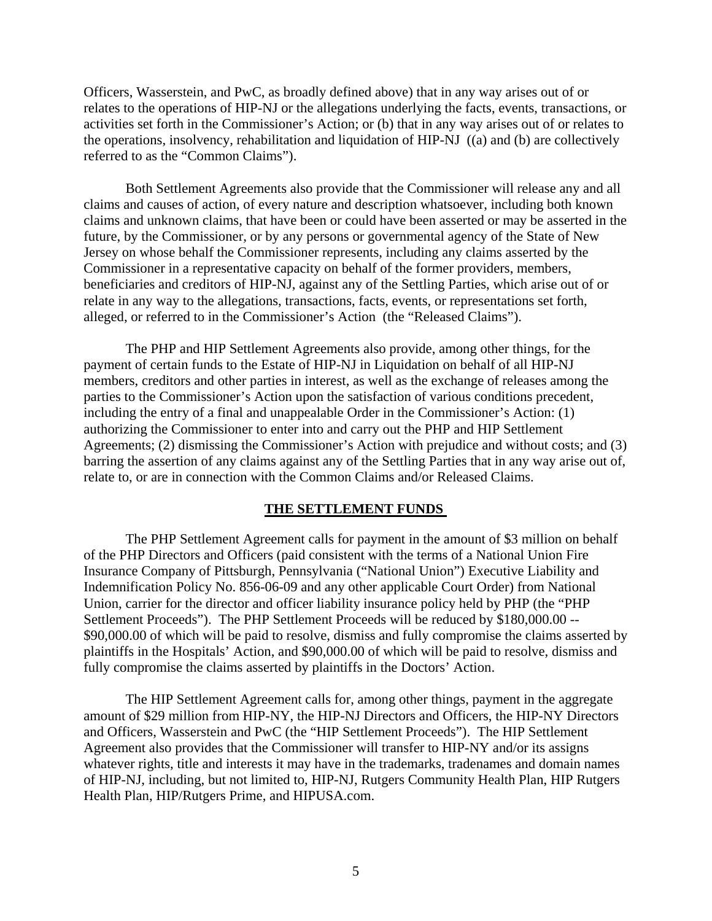Officers, Wasserstein, and PwC, as broadly defined above) that in any way arises out of or relates to the operations of HIP-NJ or the allegations underlying the facts, events, transactions, or activities set forth in the Commissioner's Action; or (b) that in any way arises out of or relates to the operations, insolvency, rehabilitation and liquidation of HIP-NJ ((a) and (b) are collectively referred to as the "Common Claims").

Both Settlement Agreements also provide that the Commissioner will release any and all claims and causes of action, of every nature and description whatsoever, including both known claims and unknown claims, that have been or could have been asserted or may be asserted in the future, by the Commissioner, or by any persons or governmental agency of the State of New Jersey on whose behalf the Commissioner represents, including any claims asserted by the Commissioner in a representative capacity on behalf of the former providers, members, beneficiaries and creditors of HIP-NJ, against any of the Settling Parties, which arise out of or relate in any way to the allegations, transactions, facts, events, or representations set forth, alleged, or referred to in the Commissioner's Action (the "Released Claims").

The PHP and HIP Settlement Agreements also provide, among other things, for the payment of certain funds to the Estate of HIP-NJ in Liquidation on behalf of all HIP-NJ members, creditors and other parties in interest, as well as the exchange of releases among the parties to the Commissioner's Action upon the satisfaction of various conditions precedent, including the entry of a final and unappealable Order in the Commissioner's Action: (1) authorizing the Commissioner to enter into and carry out the PHP and HIP Settlement Agreements; (2) dismissing the Commissioner's Action with prejudice and without costs; and (3) barring the assertion of any claims against any of the Settling Parties that in any way arise out of, relate to, or are in connection with the Common Claims and/or Released Claims.

## **THE SETTLEMENT FUNDS**

The PHP Settlement Agreement calls for payment in the amount of \$3 million on behalf of the PHP Directors and Officers (paid consistent with the terms of a National Union Fire Insurance Company of Pittsburgh, Pennsylvania ("National Union") Executive Liability and Indemnification Policy No. 856-06-09 and any other applicable Court Order) from National Union, carrier for the director and officer liability insurance policy held by PHP (the "PHP Settlement Proceeds"). The PHP Settlement Proceeds will be reduced by \$180,000.00 -- \$90,000.00 of which will be paid to resolve, dismiss and fully compromise the claims asserted by plaintiffs in the Hospitals' Action, and \$90,000.00 of which will be paid to resolve, dismiss and fully compromise the claims asserted by plaintiffs in the Doctors' Action.

The HIP Settlement Agreement calls for, among other things, payment in the aggregate amount of \$29 million from HIP-NY, the HIP-NJ Directors and Officers, the HIP-NY Directors and Officers, Wasserstein and PwC (the "HIP Settlement Proceeds"). The HIP Settlement Agreement also provides that the Commissioner will transfer to HIP-NY and/or its assigns whatever rights, title and interests it may have in the trademarks, tradenames and domain names of HIP-NJ, including, but not limited to, HIP-NJ, Rutgers Community Health Plan, HIP Rutgers Health Plan, HIP/Rutgers Prime, and HIPUSA.com.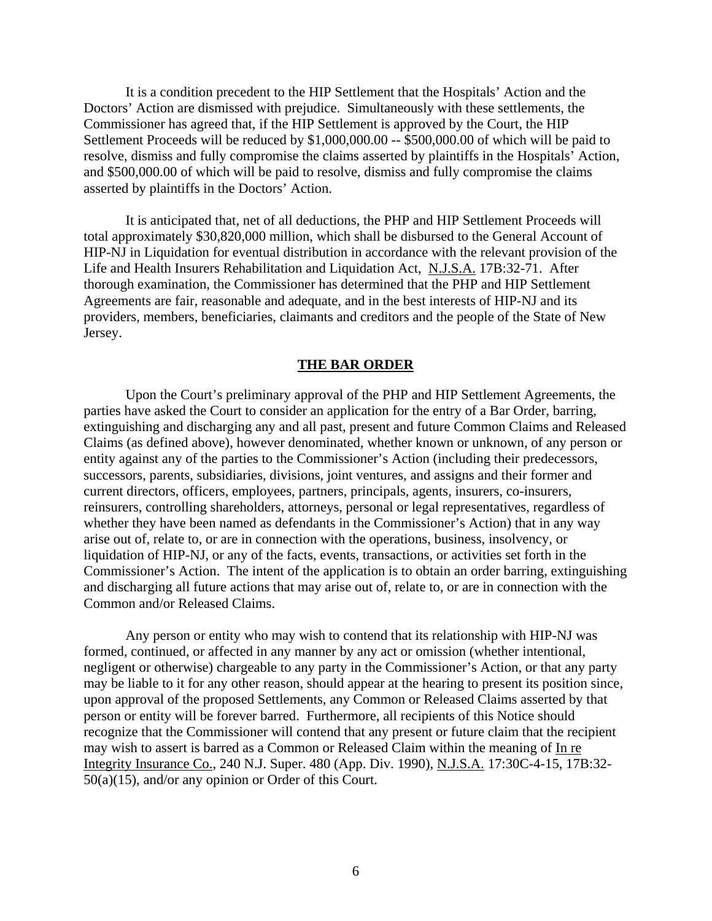It is a condition precedent to the HIP Settlement that the Hospitals' Action and the Doctors' Action are dismissed with prejudice. Simultaneously with these settlements, the Commissioner has agreed that, if the HIP Settlement is approved by the Court, the HIP Settlement Proceeds will be reduced by \$1,000,000.00 -- \$500,000.00 of which will be paid to resolve, dismiss and fully compromise the claims asserted by plaintiffs in the Hospitals' Action, and \$500,000.00 of which will be paid to resolve, dismiss and fully compromise the claims asserted by plaintiffs in the Doctors' Action.

It is anticipated that, net of all deductions, the PHP and HIP Settlement Proceeds will total approximately \$30,820,000 million, which shall be disbursed to the General Account of HIP-NJ in Liquidation for eventual distribution in accordance with the relevant provision of the Life and Health Insurers Rehabilitation and Liquidation Act, N.J.S.A. 17B:32-71. After thorough examination, the Commissioner has determined that the PHP and HIP Settlement Agreements are fair, reasonable and adequate, and in the best interests of HIP-NJ and its providers, members, beneficiaries, claimants and creditors and the people of the State of New Jersey.

### **THE BAR ORDER**

Upon the Court's preliminary approval of the PHP and HIP Settlement Agreements, the parties have asked the Court to consider an application for the entry of a Bar Order, barring, extinguishing and discharging any and all past, present and future Common Claims and Released Claims (as defined above), however denominated, whether known or unknown, of any person or entity against any of the parties to the Commissioner's Action (including their predecessors, successors, parents, subsidiaries, divisions, joint ventures, and assigns and their former and current directors, officers, employees, partners, principals, agents, insurers, co-insurers, reinsurers, controlling shareholders, attorneys, personal or legal representatives, regardless of whether they have been named as defendants in the Commissioner's Action) that in any way arise out of, relate to, or are in connection with the operations, business, insolvency, or liquidation of HIP-NJ, or any of the facts, events, transactions, or activities set forth in the Commissioner's Action. The intent of the application is to obtain an order barring, extinguishing and discharging all future actions that may arise out of, relate to, or are in connection with the Common and/or Released Claims.

Any person or entity who may wish to contend that its relationship with HIP-NJ was formed, continued, or affected in any manner by any act or omission (whether intentional, negligent or otherwise) chargeable to any party in the Commissioner's Action, or that any party may be liable to it for any other reason, should appear at the hearing to present its position since, upon approval of the proposed Settlements, any Common or Released Claims asserted by that person or entity will be forever barred. Furthermore, all recipients of this Notice should recognize that the Commissioner will contend that any present or future claim that the recipient may wish to assert is barred as a Common or Released Claim within the meaning of In re Integrity Insurance Co., 240 N.J. Super. 480 (App. Div. 1990), N.J.S.A. 17:30C-4-15, 17B:32- 50(a)(15), and/or any opinion or Order of this Court.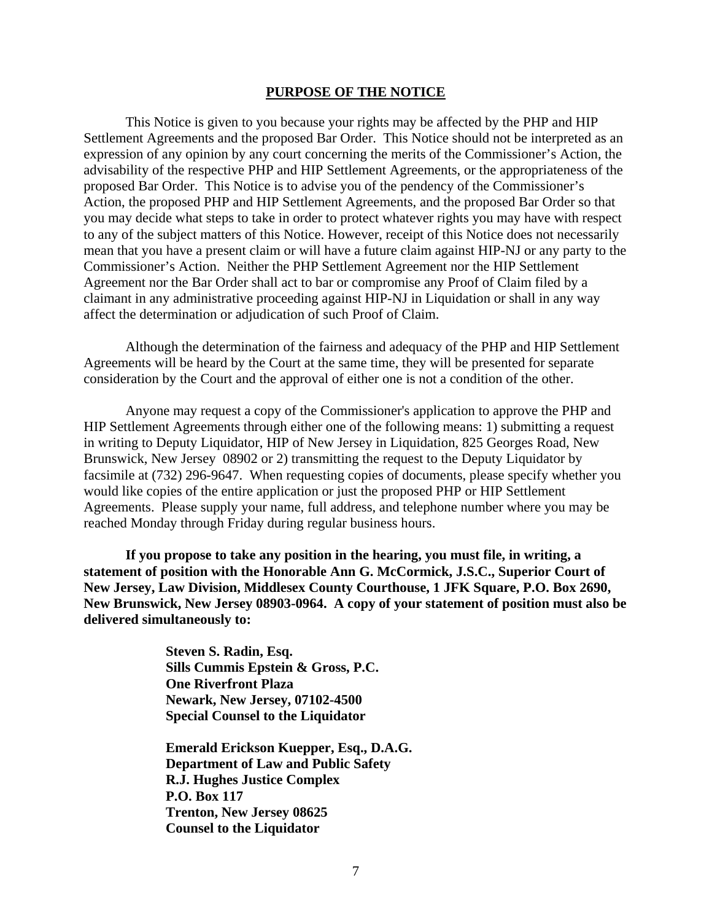#### **PURPOSE OF THE NOTICE**

This Notice is given to you because your rights may be affected by the PHP and HIP Settlement Agreements and the proposed Bar Order. This Notice should not be interpreted as an expression of any opinion by any court concerning the merits of the Commissioner's Action, the advisability of the respective PHP and HIP Settlement Agreements, or the appropriateness of the proposed Bar Order. This Notice is to advise you of the pendency of the Commissioner's Action, the proposed PHP and HIP Settlement Agreements, and the proposed Bar Order so that you may decide what steps to take in order to protect whatever rights you may have with respect to any of the subject matters of this Notice. However, receipt of this Notice does not necessarily mean that you have a present claim or will have a future claim against HIP-NJ or any party to the Commissioner's Action. Neither the PHP Settlement Agreement nor the HIP Settlement Agreement nor the Bar Order shall act to bar or compromise any Proof of Claim filed by a claimant in any administrative proceeding against HIP-NJ in Liquidation or shall in any way affect the determination or adjudication of such Proof of Claim.

Although the determination of the fairness and adequacy of the PHP and HIP Settlement Agreements will be heard by the Court at the same time, they will be presented for separate consideration by the Court and the approval of either one is not a condition of the other.

Anyone may request a copy of the Commissioner's application to approve the PHP and HIP Settlement Agreements through either one of the following means: 1) submitting a request in writing to Deputy Liquidator, HIP of New Jersey in Liquidation, 825 Georges Road, New Brunswick, New Jersey 08902 or 2) transmitting the request to the Deputy Liquidator by facsimile at (732) 296-9647. When requesting copies of documents, please specify whether you would like copies of the entire application or just the proposed PHP or HIP Settlement Agreements. Please supply your name, full address, and telephone number where you may be reached Monday through Friday during regular business hours.

**If you propose to take any position in the hearing, you must file, in writing, a statement of position with the Honorable Ann G. McCormick, J.S.C., Superior Court of New Jersey, Law Division, Middlesex County Courthouse, 1 JFK Square, P.O. Box 2690, New Brunswick, New Jersey 08903-0964. A copy of your statement of position must also be delivered simultaneously to:**

> **Steven S. Radin, Esq. Sills Cummis Epstein & Gross, P.C. One Riverfront Plaza Newark, New Jersey, 07102-4500 Special Counsel to the Liquidator**

**Emerald Erickson Kuepper, Esq., D.A.G. Department of Law and Public Safety R.J. Hughes Justice Complex P.O. Box 117 Trenton, New Jersey 08625 Counsel to the Liquidator**